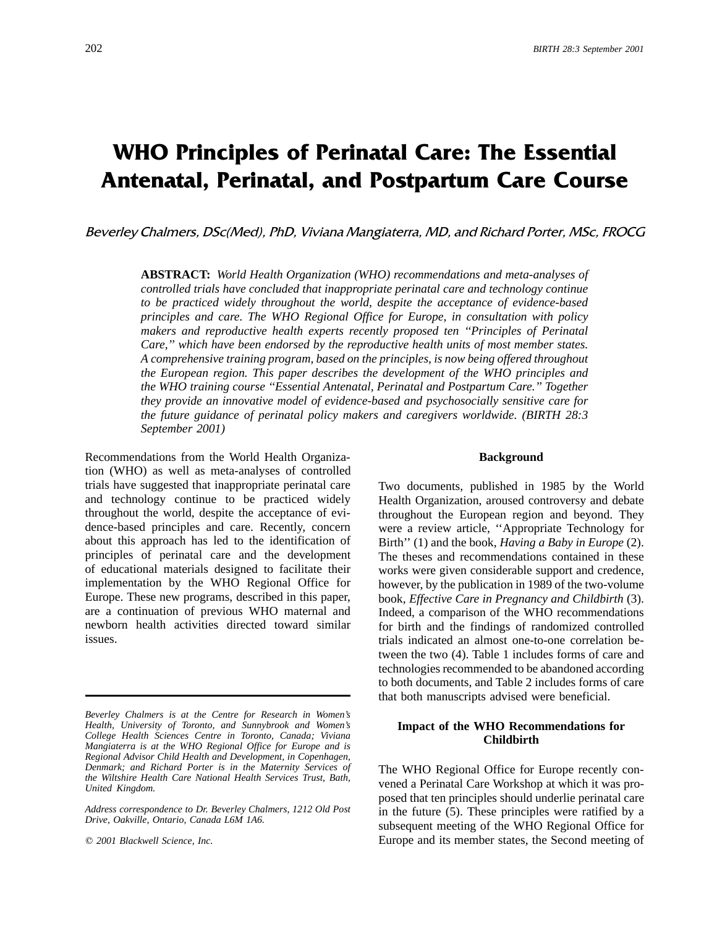### **WHO Principles of Perinatal Care: The Essential Antenatal, Perinatal, and Postpartum Care Course**

Beverley Chalmers, DSc(Med), PhD, Viviana Mangiaterra, MD, and Richard Porter, MSc, FROCG

**ABSTRACT:** *World Health Organization (WHO) recommendations and meta-analyses of controlled trials have concluded that inappropriate perinatal care and technology continue to be practiced widely throughout the world, despite the acceptance of evidence-based principles and care. The WHO Regional Office for Europe, in consultation with policy makers and reproductive health experts recently proposed ten ''Principles of Perinatal Care,'' which have been endorsed by the reproductive health units of most member states. A comprehensive training program, based on the principles, is now being offered throughout the European region. This paper describes the development of the WHO principles and the WHO training course ''Essential Antenatal, Perinatal and Postpartum Care.'' Together they provide an innovative model of evidence-based and psychosocially sensitive care for the future guidance of perinatal policy makers and caregivers worldwide. (BIRTH 28:3 September 2001)*

Recommendations from the World Health Organiza- **Background** tion (WHO) as well as meta-analyses of controlled trials have suggested that inappropriate perinatal care Two documents, published in 1985 by the World and technology continue to be practiced widely Health Organization, aroused controversy and debate throughout the world, despite the acceptance of evi-<br>dence-based principles and care. Recently, concern were a review article. "Appropriate Technology for dence-based principles and care. Recently, concern were a review article, "Appropriate Technology for about this approach has led to the identification of Birth" (1) and the book. Having a Baby in Europe (2). about this approach has led to the identification of Birth'' (1) and the book, *Having a Baby in Europe* (2).<br>principles of perinatal care and the development The theses and recommendations contained in these of educational materials designed to facilitate their works were given considerable support and credence, implementation by the WHO Regional Office for however, by the publication in 1989 of the two-volume Europe. These new programs, described in this paper, book, *Effective Care in Pregnancy and Childbirth* (3). are a continuation of previous WHO maternal and Indeed, a comparison of the WHO recommendations are a continuation of previous WHO maternal and Indeed, a comparison of the WHO recommendations<br>newborn health activities directed toward similar for birth and the findings of randomized controlled issues. trials indicated an almost one-to-one correlation be-

The theses and recommendations contained in these for birth and the findings of randomized controlled tween the two (4). Table 1 includes forms of care and technologies recommended to be abandoned according to both documents, and Table 2 includes forms of care that both manuscripts advised were beneficial.

*United Kingdom. United Kingdom. United Kingdom. Vened a Perinatal Care Workshop at which it was pro*posed that ten principles should underlie perinatal care *Address correspondence to Dr. Beverley Chalmers, 1212 Old Post* in the future (5). These principles were ratified by a *prive, Oakville, Ontario, Canada L6M 1A6.* subsequent meeting of the WHO Regional Office for q *2001 Blackwell Science, Inc.* Europe and its member states, the Second meeting of

*Beverley Chalmers is at the Centre for Research in Women's* Health, University of Toronto, and Sunnybrook and Women's<br>
College Health Sciences Centre in Toronto, Canada; Viviana<br>
Mangiaterra is at the WHO Regional Office for Europe and is<br>
Mangiaterra is at the WHO Regional Office *Regional Advisor Child Health and Development, in Copenhagen, Denmark; and Richard Porter is in the Maternity Services of* The WHO Regional Office for Europe recently con-<br>*the Wiltshire Health Care National Health Services Trust, Bath,* a spened a Deginatel Care Warksheep at which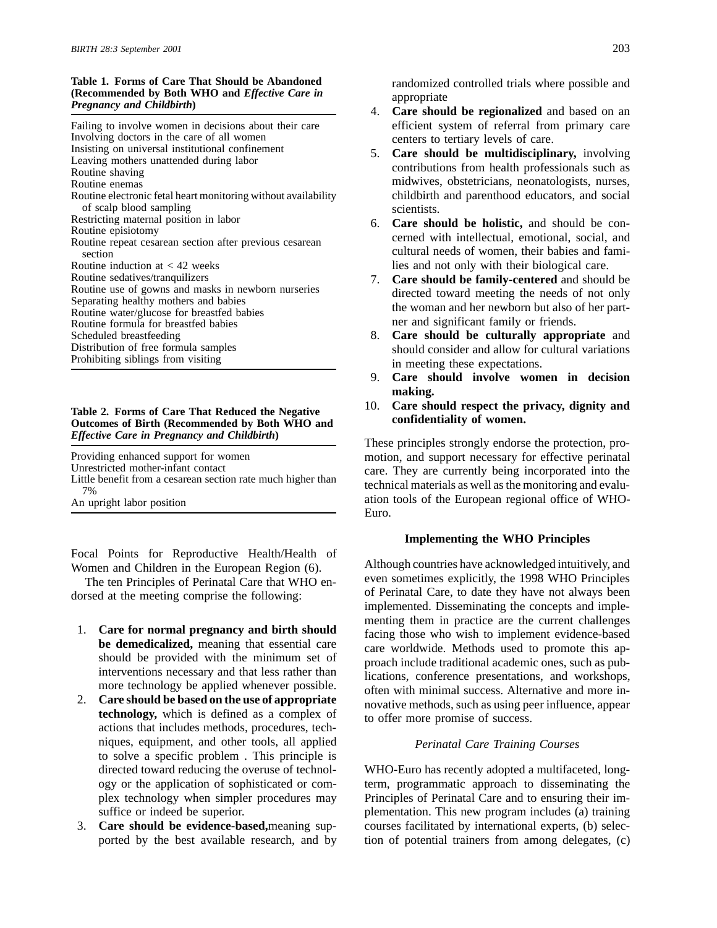# Table 1. Forms of Care That Should be Abandoned<br>
(Recommended by Both WHO and *Effective Care in*<br> *Pregnancy and Childbirth*) 4. Care should be regionalized and based on an

Involving doctors in the care of all women<br>
Insisting on universal institutional confinement<br>
Leaving mothers unattended during labor<br>
Routine shaving<br>
Routine shaving<br>
Routine shaving<br>
Routine shaving<br>
Allen Care should b Routine electronic fetal heart monitoring without availability of scalp blood sampling scientists.<br>Restricting maternal position in labor<br>6 Care she Routine induction at < 42 weeks lies and not only with their biological care. Routine sedatives/tranquilizers **7. Care should be family-centered** and should be Routine use of gowns and masks in newborn nurseries directed toward meeting the needs of not only Routine *mater gradual* for breastfed babies ner and significant family or friends. Distribution of free formula samples<br>
Prohibiting siblings from visiting<br>
Prohibiting siblings from visiting<br>
Prohibiting siblings from visiting

## **Outcomes of Birth (Recommended by Both WHO and**

Focal Points for Reproductive Health/Health of

- 
- niques, equipment, and other tools, all applied *Perinatal Care Training Courses* to solve a specific problem . This principle is
- 

- Failing to involve women in decisions about their care efficient system of referral from primary care
- Routine enemas<br>
Routine enemas<br>
Routine electronic fetal heart monitoring without availability entity childbirth and parenthood educators, and social
- Exerciting material position in labor<br>Routine episiotomy<br>Routine repeat cesarean section after previous cesarean<br>section<br>examed with intellectual, emotional, social, and<br>cultural needs of women, their babies and fami-
- Routine use of gowns and masks in hewborn hursenes<br>Separating healthy mothers and babies<br>Routine water/glucose for breastfed babies<br>Routine water/glucose for breastfed babies
- Scheduled breastfeeding **8. Care should be culturally appropriate** and Distribution of free formula samples **8. Care should consider and allow for cultural variations** in meeting these expectations.
	- 9. **Care should involve women in decision making.**
- 10. **Care should respect the privacy, dignity and Table 2. Forms of Care That Reduced the Negative**

*Effective Care in Pregnancy and Childbirth*) These principles strongly endorse the protection, pro-Providing enhanced support for women<br>
Unrestricted mother-infant contact<br>
They are authority being incorporated into the Unrestricted mother-infant contact care. They are currently being incorporated into the Little benefit from a cesarean section rate much higher than technical materials as well as the monitoring and evalu- 7% An upright labor position ation tools of the European regional office of WHO-Euro.

### **Implementing the WHO Principles**

Women and Children in the European Region (6). Although countries have acknowledged intuitively, and The ten Principles of Perinatal Care that WHO en-<br>even sometimes explicitly, the 1998 WHO Principles dorsed at the meeting comprise the following:<br>implemented. Disseminating the concepts and imple-<br>dorsed at the meeting comprise the following:<br> $\frac{1}{2}$  of Perinatal Care, to date they have not always been 1. Care for normal pregnancy and birth should<br>be demedicalized, meaning that essential care<br>should be provided with the minimum set of<br>interventions necessary and that less rather than<br>more technology be applied whenever p 2. Care should be based on the use of appropriate<br>technology, which is defined as a complex of<br>actions that includes methods, procedures, tech-<br>actions that includes methods, procedures, tech-

directed toward reducing the overuse of technol- WHO-Euro has recently adopted a multifaceted, longogy or the application of sophisticated or com- term, programmatic approach to disseminating the plex technology when simpler procedures may Principles of Perinatal Care and to ensuring their imsuffice or indeed be superior. plementation. This new program includes (a) training 3. **Care should be evidence-based,**meaning sup- courses facilitated by international experts, (b) selecported by the best available research, and by tion of potential trainers from among delegates, (c)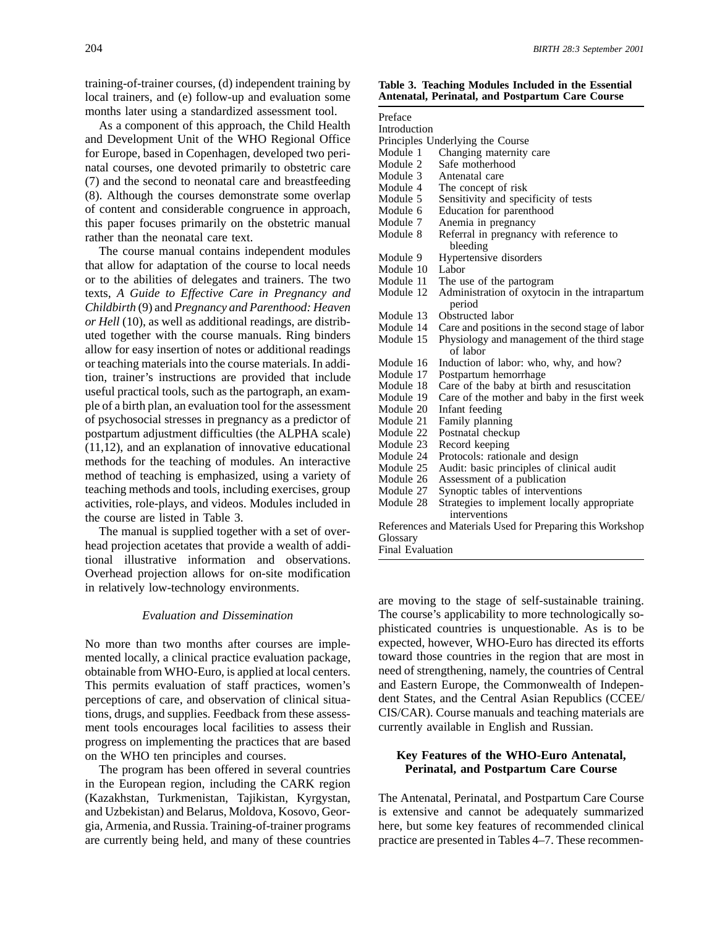training-of-trainer courses, (d) independent training by **Table 3. Teaching Modules Included in the Essential** local trainers, and (e) follow-up and evaluation some months later using a standardized assessment tool.<br>As a component of this approach, the Child Health

The manual is supplied together with a set of over-<br>head projection acetates that provide a wealth of additional illustrative information and observations. Overhead projection allows for on-site modification in relatively low-technology environments.

mented locally, a clinical practice evaluation package, toward those countries in the region that are most in obtainable from WHO-Euro, is applied at local centers. need of strengthening, namely, the countries of Central This permits evaluation of staff practices, women's and Eastern Europe, the Commonwealth of Indepenperceptions of care, and observation of clinical situa- dent States, and the Central Asian Republics (CCEE/ tions, drugs, and supplies. Feedback from these assess- CIS/CAR). Course manuals and teaching materials are ment tools encourages local facilities to assess their currently available in English and Russian. progress on implementing the practices that are based on the WHO ten principles and courses. **Key Features of the WHO-Euro Antenatal,**

The program has been offered in several countries **Perinatal, and Postpartum Care Course** in the European region, including the CARK region (Kazakhstan, Turkmenistan, Tajikistan, Kyrgystan, The Antenatal, Perinatal, and Postpartum Care Course and Uzbekistan) and Belarus, Moldova, Kosovo, Geor- is extensive and cannot be adequately summarized gia, Armenia, and Russia. Training-of-trainer programs here, but some key features of recommended clinical are currently being held, and many of these countries practice are presented in Tables 4–7. These recommen-

| months later using a standardized assessment tool.                                                       | Preface                |                                                                           |
|----------------------------------------------------------------------------------------------------------|------------------------|---------------------------------------------------------------------------|
| As a component of this approach, the Child Health                                                        | Introduction           |                                                                           |
| and Development Unit of the WHO Regional Office                                                          |                        | Principles Underlying the Course                                          |
| for Europe, based in Copenhagen, developed two peri-                                                     | Module 1               | Changing maternity care                                                   |
| natal courses, one devoted primarily to obstetric care                                                   | Module 2               | Safe motherhood                                                           |
| (7) and the second to neonatal care and breastfeeding                                                    | Module 3               | Antenatal care                                                            |
|                                                                                                          | Module 4               | The concept of risk                                                       |
| (8). Although the courses demonstrate some overlap                                                       | Module 5               | Sensitivity and specificity of tests                                      |
| of content and considerable congruence in approach,                                                      | Module 6               | Education for parenthood                                                  |
| this paper focuses primarily on the obstetric manual                                                     | Module 7               | Anemia in pregnancy                                                       |
| rather than the neonatal care text.                                                                      | Module 8               | Referral in pregnancy with reference to                                   |
| The course manual contains independent modules                                                           |                        | bleeding                                                                  |
| that allow for adaptation of the course to local needs                                                   | Module 9               | Hypertensive disorders                                                    |
| or to the abilities of delegates and trainers. The two                                                   | Module 10              | Labor                                                                     |
|                                                                                                          | Module 11<br>Module 12 | The use of the partogram<br>Administration of oxytocin in the intrapartum |
| texts, A Guide to Effective Care in Pregnancy and<br>Childbirth (9) and Pregnancy and Parenthood: Heaven |                        | period                                                                    |
|                                                                                                          | Module 13              | Obstructed labor                                                          |
| or Hell (10), as well as additional readings, are distrib-                                               | Module 14              | Care and positions in the second stage of labor                           |
| uted together with the course manuals. Ring binders                                                      | Module 15              | Physiology and management of the third stage                              |
| allow for easy insertion of notes or additional readings                                                 |                        | of labor                                                                  |
| or teaching materials into the course materials. In addi-                                                | Module 16              | Induction of labor: who, why, and how?                                    |
| tion, trainer's instructions are provided that include                                                   | Module 17              | Postpartum hemorrhage                                                     |
| useful practical tools, such as the partograph, an exam-                                                 | Module 18              | Care of the baby at birth and resuscitation                               |
| ple of a birth plan, an evaluation tool for the assessment                                               | Module 19              | Care of the mother and baby in the first week                             |
| of psychosocial stresses in pregnancy as a predictor of                                                  | Module 20              | Infant feeding                                                            |
|                                                                                                          | Module 21<br>Module 22 | Family planning                                                           |
| postpartum adjustment difficulties (the ALPHA scale)                                                     | Module 23              | Postnatal checkup<br>Record keeping                                       |
| $(11,12)$ , and an explanation of innovative educational                                                 | Module 24              | Protocols: rationale and design                                           |
| methods for the teaching of modules. An interactive                                                      | Module 25              | Audit: basic principles of clinical audit                                 |
| method of teaching is emphasized, using a variety of                                                     | Module 26              | Assessment of a publication                                               |
| teaching methods and tools, including exercises, group                                                   | Module 27              | Synoptic tables of interventions                                          |
| activities, role-plays, and videos. Modules included in                                                  | Module 28              | Strategies to implement locally appropriate                               |
| the course are listed in Table 3.                                                                        |                        | interventions                                                             |
| The manual is supplied together with a set of over-                                                      |                        | References and Materials Used for Preparing this Workshop                 |
| head projection acetates that provide a wealth of addi-                                                  | Glossary               |                                                                           |
|                                                                                                          | Final Evaluation       |                                                                           |

are moving to the stage of self-sustainable training. *Evaluation and Dissemination* The course's applicability to more technologically sophisticated countries is unquestionable. As is to be No more than two months after courses are imple- expected, however, WHO-Euro has directed its efforts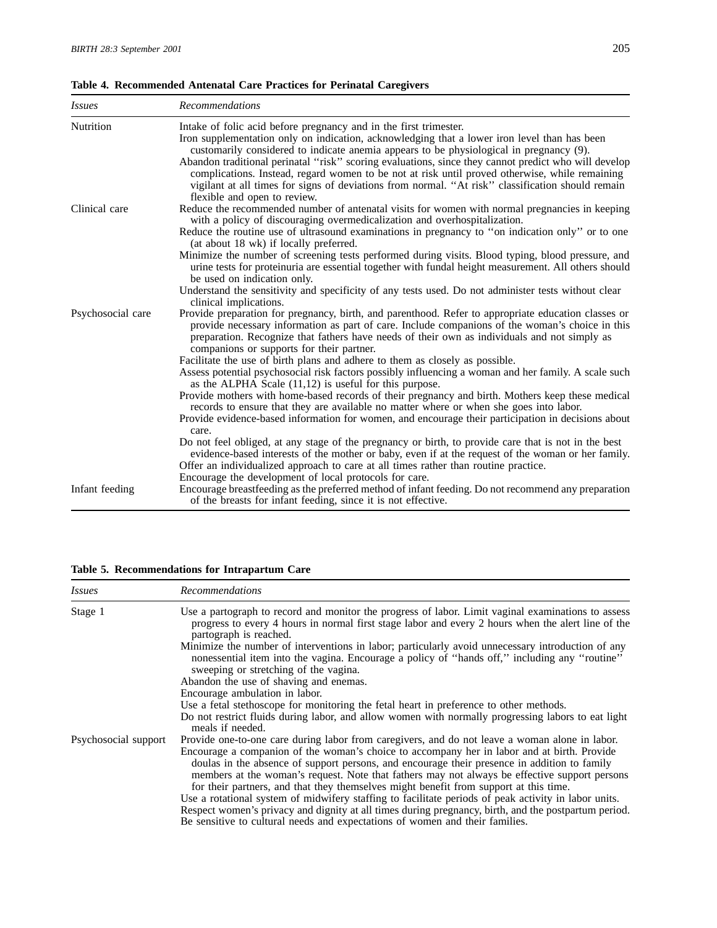|  | Table 4. Recommended Antenatal Care Practices for Perinatal Caregivers |  |  |  |  |  |  |
|--|------------------------------------------------------------------------|--|--|--|--|--|--|
|--|------------------------------------------------------------------------|--|--|--|--|--|--|

| <i>Issues</i>     | <b>Recommendations</b>                                                                                                                                                                                                                                                                                                                                       |
|-------------------|--------------------------------------------------------------------------------------------------------------------------------------------------------------------------------------------------------------------------------------------------------------------------------------------------------------------------------------------------------------|
| Nutrition         | Intake of folic acid before pregnancy and in the first trimester.<br>Iron supplementation only on indication, acknowledging that a lower iron level than has been<br>customarily considered to indicate anemia appears to be physiological in pregnancy (9).                                                                                                 |
|                   | Abandon traditional perinatal "risk" scoring evaluations, since they cannot predict who will develop<br>complications. Instead, regard women to be not at risk until proved otherwise, while remaining<br>vigilant at all times for signs of deviations from normal. "At risk" classification should remain<br>flexible and open to review.                  |
| Clinical care     | Reduce the recommended number of antenatal visits for women with normal pregnancies in keeping<br>with a policy of discouraging overmedicalization and overhospitalization.                                                                                                                                                                                  |
|                   | Reduce the routine use of ultrasound examinations in pregnancy to "on indication only" or to one<br>(at about 18 wk) if locally preferred.                                                                                                                                                                                                                   |
|                   | Minimize the number of screening tests performed during visits. Blood typing, blood pressure, and<br>urine tests for proteinuria are essential together with fundal height measurement. All others should<br>be used on indication only.                                                                                                                     |
|                   | Understand the sensitivity and specificity of any tests used. Do not administer tests without clear<br>clinical implications.                                                                                                                                                                                                                                |
| Psychosocial care | Provide preparation for pregnancy, birth, and parenthood. Refer to appropriate education classes or<br>provide necessary information as part of care. Include companions of the woman's choice in this<br>preparation. Recognize that fathers have needs of their own as individuals and not simply as<br>companions or supports for their partner.          |
|                   | Facilitate the use of birth plans and adhere to them as closely as possible.<br>Assess potential psychosocial risk factors possibly influencing a woman and her family. A scale such                                                                                                                                                                         |
|                   | as the ALPHA Scale $(11,12)$ is useful for this purpose.<br>Provide mothers with home-based records of their pregnancy and birth. Mothers keep these medical<br>records to ensure that they are available no matter where or when she goes into labor.<br>Provide evidence-based information for women, and encourage their participation in decisions about |
|                   | care.<br>Do not feel obliged, at any stage of the pregnancy or birth, to provide care that is not in the best<br>evidence-based interests of the mother or baby, even if at the request of the woman or her family.<br>Offer an individualized approach to care at all times rather than routine practice.                                                   |
|                   | Encourage the development of local protocols for care.                                                                                                                                                                                                                                                                                                       |
| Infant feeding    | Encourage breastfeeding as the preferred method of infant feeding. Do not recommend any preparation<br>of the breasts for infant feeding, since it is not effective.                                                                                                                                                                                         |

**Table 5. Recommendations for Intrapartum Care**

| <i>Issues</i>        | <b>Recommendations</b>                                                                                                                                                                                                                                                                                                                                                                |
|----------------------|---------------------------------------------------------------------------------------------------------------------------------------------------------------------------------------------------------------------------------------------------------------------------------------------------------------------------------------------------------------------------------------|
| Stage 1              | Use a partograph to record and monitor the progress of labor. Limit vaginal examinations to assess<br>progress to every 4 hours in normal first stage labor and every 2 hours when the alert line of the<br>partograph is reached.                                                                                                                                                    |
|                      | Minimize the number of interventions in labor; particularly avoid unnecessary introduction of any<br>nonessential item into the vagina. Encourage a policy of "hands off," including any "routine"<br>sweeping or stretching of the vagina.                                                                                                                                           |
|                      | Abandon the use of shaving and enemas.                                                                                                                                                                                                                                                                                                                                                |
|                      | Encourage ambulation in labor.                                                                                                                                                                                                                                                                                                                                                        |
|                      | Use a fetal stethoscope for monitoring the fetal heart in preference to other methods.                                                                                                                                                                                                                                                                                                |
|                      | Do not restrict fluids during labor, and allow women with normally progressing labors to eat light<br>meals if needed.                                                                                                                                                                                                                                                                |
| Psychosocial support | Provide one-to-one care during labor from caregivers, and do not leave a woman alone in labor.                                                                                                                                                                                                                                                                                        |
|                      | Encourage a companion of the woman's choice to accompany her in labor and at birth. Provide<br>doulas in the absence of support persons, and encourage their presence in addition to family<br>members at the woman's request. Note that fathers may not always be effective support persons<br>for their partners, and that they themselves might benefit from support at this time. |
|                      | Use a rotational system of midwifery staffing to facilitate periods of peak activity in labor units.                                                                                                                                                                                                                                                                                  |
|                      | Respect women's privacy and dignity at all times during pregnancy, birth, and the postpartum period.                                                                                                                                                                                                                                                                                  |
|                      | Be sensitive to cultural needs and expectations of women and their families.                                                                                                                                                                                                                                                                                                          |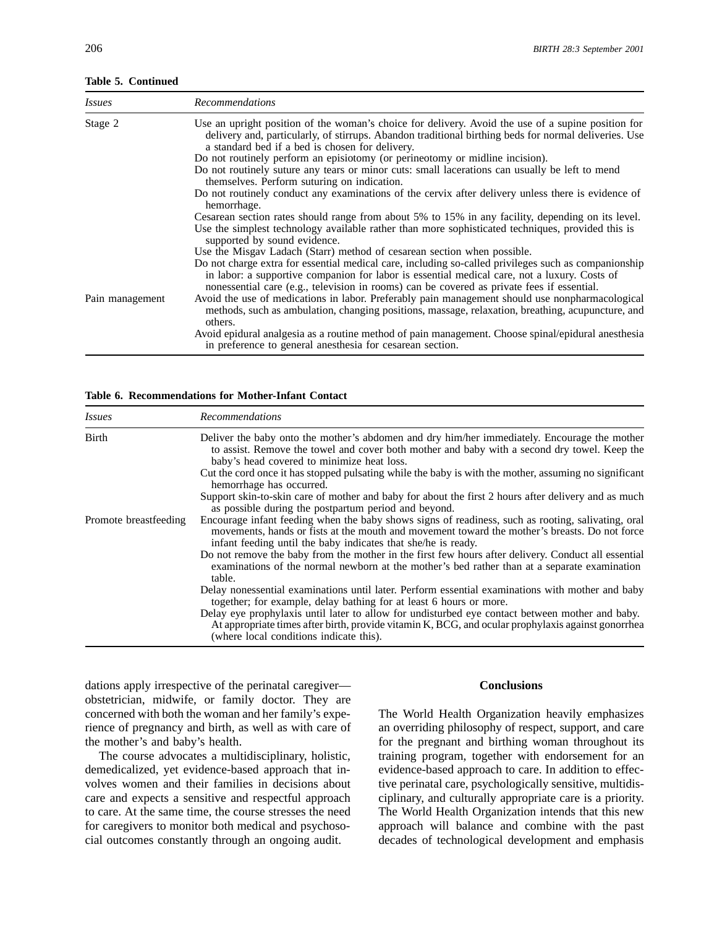**Table 5. Continued**

| <i>Issues</i>   | <b>Recommendations</b>                                                                                                                                                                                                                                                                             |
|-----------------|----------------------------------------------------------------------------------------------------------------------------------------------------------------------------------------------------------------------------------------------------------------------------------------------------|
| Stage 2         | Use an upright position of the woman's choice for delivery. Avoid the use of a supine position for<br>delivery and, particularly, of stirrups. Abandon traditional birthing beds for normal deliveries. Use<br>a standard bed if a bed is chosen for delivery.                                     |
|                 | Do not routinely perform an episiotomy (or perineotomy or midline incision).                                                                                                                                                                                                                       |
|                 | Do not routinely suture any tears or minor cuts: small lacerations can usually be left to mend<br>themselves. Perform suturing on indication.                                                                                                                                                      |
|                 | Do not routinely conduct any examinations of the cervix after delivery unless there is evidence of<br>hemorrhage.                                                                                                                                                                                  |
|                 | Cesarean section rates should range from about 5% to 15% in any facility, depending on its level.                                                                                                                                                                                                  |
|                 | Use the simplest technology available rather than more sophisticated techniques, provided this is<br>supported by sound evidence.                                                                                                                                                                  |
|                 | Use the Misgav Ladach (Starr) method of cesarean section when possible.                                                                                                                                                                                                                            |
|                 | Do not charge extra for essential medical care, including so-called privileges such as companionship<br>in labor: a supportive companion for labor is essential medical care, not a luxury. Costs of<br>nonessential care (e.g., television in rooms) can be covered as private fees if essential. |
| Pain management | Avoid the use of medications in labor. Preferably pain management should use nonpharmacological<br>methods, such as ambulation, changing positions, massage, relaxation, breathing, acupuncture, and<br>others.                                                                                    |
|                 | Avoid epidural analgesia as a routine method of pain management. Choose spinal/epidural anesthesia<br>in preference to general anesthesia for cesarean section.                                                                                                                                    |

**Table 6. Recommendations for Mother-Infant Contact**

| Issues                | <b>Recommendations</b>                                                                                                                                                                                                                                               |
|-----------------------|----------------------------------------------------------------------------------------------------------------------------------------------------------------------------------------------------------------------------------------------------------------------|
| Birth                 | Deliver the baby onto the mother's abdomen and dry him/her immediately. Encourage the mother<br>to assist. Remove the towel and cover both mother and baby with a second dry towel. Keep the<br>baby's head covered to minimize heat loss.                           |
|                       | Cut the cord once it has stopped pulsating while the baby is with the mother, assuming no significant<br>hemorrhage has occurred.                                                                                                                                    |
|                       | Support skin-to-skin care of mother and baby for about the first 2 hours after delivery and as much<br>as possible during the postpartum period and beyond.                                                                                                          |
| Promote breastfeeding | Encourage infant feeding when the baby shows signs of readiness, such as rooting, salivating, oral<br>movements, hands or fists at the mouth and movement toward the mother's breasts. Do not force<br>infant feeding until the baby indicates that she/he is ready. |
|                       | Do not remove the baby from the mother in the first few hours after delivery. Conduct all essential<br>examinations of the normal newborn at the mother's bed rather than at a separate examination<br>table.                                                        |
|                       | Delay nonessential examinations until later. Perform essential examinations with mother and baby<br>together; for example, delay bathing for at least 6 hours or more.                                                                                               |
|                       | Delay eye prophylaxis until later to allow for undisturbed eye contact between mother and baby.<br>At appropriate times after birth, provide vitamin K, BCG, and ocular prophylaxis against gonorrhea<br>(where local conditions indicate this).                     |

dations apply irrespective of the perinatal caregiver— **Conclusions** obstetrician, midwife, or family doctor. They are concerned with both the woman and her family's expe- The World Health Organization heavily emphasizes rience of pregnancy and birth, as well as with care of an overriding philosophy of respect, support, and care the mother's and baby's health. for the pregnant and birthing woman throughout its

demedicalized, yet evidence-based approach that in- evidence-based approach to care. In addition to effecvolves women and their families in decisions about tive perinatal care, psychologically sensitive, multidiscare and expects a sensitive and respectful approach ciplinary, and culturally appropriate care is a priority.<br>to care. At the same time, the course stresses the need The World Health Organization intends that this new for caregivers to monitor both medical and psychoso- approach will balance and combine with the past

The course advocates a multidisciplinary, holistic, training program, together with endorsement for an The World Health Organization intends that this new cial outcomes constantly through an ongoing audit. decades of technological development and emphasis